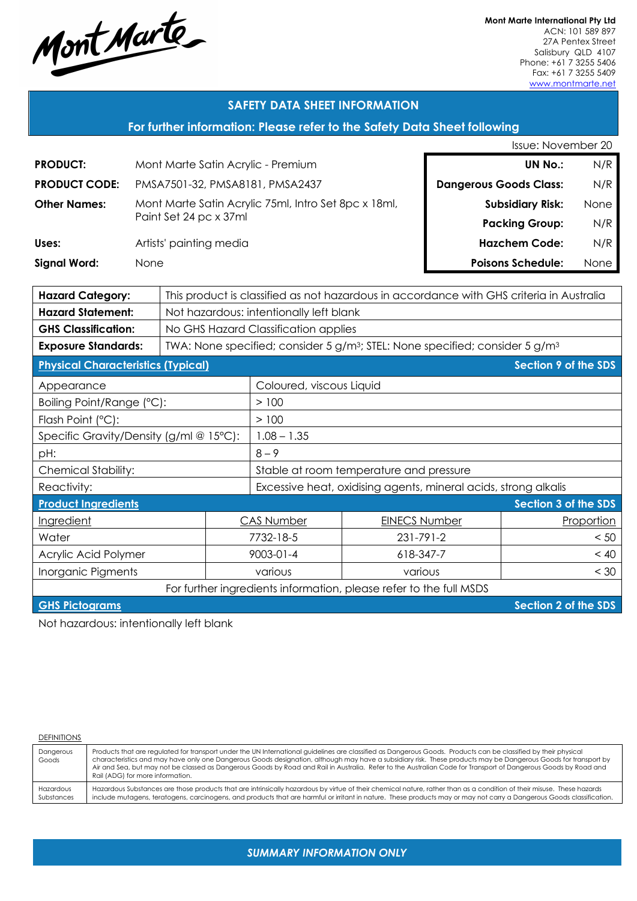Mont Marte

**Mont Marte International Pty Ltd** ACN: 101 589 897 27A Pentex Street Salisbury QLD 4107 Phone: +61 7 3255 5406 Fax: +61 7 3255 5409 www.montmarte.net

#### **SAFETY DATA SHEET INFORMATION**

#### **For further information: Please refer to the Safety Data Sheet following**

|                                                                                                                     |                                    | <b>Issue: November 20</b>       |                                                                 |                                                                                                      |           |                               |                          |      |
|---------------------------------------------------------------------------------------------------------------------|------------------------------------|---------------------------------|-----------------------------------------------------------------|------------------------------------------------------------------------------------------------------|-----------|-------------------------------|--------------------------|------|
| <b>PRODUCT:</b>                                                                                                     | Mont Marte Satin Acrylic - Premium |                                 |                                                                 |                                                                                                      |           |                               | <b>UN No.:</b>           |      |
| <b>PRODUCT CODE:</b>                                                                                                |                                    | PMSA7501-32, PMSA8181, PMSA2437 |                                                                 |                                                                                                      |           | <b>Dangerous Goods Class:</b> |                          | N/R  |
| <b>Other Names:</b>                                                                                                 |                                    |                                 |                                                                 | Mont Marte Satin Acrylic 75ml, Intro Set 8pc x 18ml,                                                 |           |                               | <b>Subsidiary Risk:</b>  | None |
|                                                                                                                     |                                    | Paint Set 24 pc x 37ml          |                                                                 |                                                                                                      |           |                               | <b>Packing Group:</b>    | N/R  |
| Uses:                                                                                                               |                                    | Artists' painting media         |                                                                 |                                                                                                      |           |                               | <b>Hazchem Code:</b>     | N/R  |
| <b>Signal Word:</b>                                                                                                 | None                               |                                 |                                                                 |                                                                                                      |           |                               | <b>Poisons Schedule:</b> | None |
|                                                                                                                     |                                    |                                 |                                                                 |                                                                                                      |           |                               |                          |      |
| <b>Hazard Category:</b><br>This product is classified as not hazardous in accordance with GHS criteria in Australia |                                    |                                 |                                                                 |                                                                                                      |           |                               |                          |      |
| <b>Hazard Statement:</b>                                                                                            |                                    |                                 | Not hazardous: intentionally left blank                         |                                                                                                      |           |                               |                          |      |
| <b>GHS Classification:</b>                                                                                          |                                    |                                 |                                                                 | No GHS Hazard Classification applies                                                                 |           |                               |                          |      |
| <b>Exposure Standards:</b>                                                                                          |                                    |                                 |                                                                 | TWA: None specified; consider 5 g/m <sup>3</sup> ; STEL: None specified; consider 5 g/m <sup>3</sup> |           |                               |                          |      |
| <b>Physical Characteristics (Typical)</b>                                                                           |                                    |                                 |                                                                 |                                                                                                      |           |                               | Section 9 of the SDS     |      |
| Appearance                                                                                                          |                                    |                                 | Coloured, viscous Liquid                                        |                                                                                                      |           |                               |                          |      |
| Boiling Point/Range (°C):                                                                                           |                                    |                                 |                                                                 | >100                                                                                                 |           |                               |                          |      |
| Flash Point (°C):                                                                                                   |                                    |                                 |                                                                 | >100                                                                                                 |           |                               |                          |      |
| Specific Gravity/Density (g/ml @ 15°C):                                                                             |                                    |                                 |                                                                 | $1.08 - 1.35$                                                                                        |           |                               |                          |      |
| pH:                                                                                                                 |                                    |                                 |                                                                 | $8 - 9$                                                                                              |           |                               |                          |      |
| <b>Chemical Stability:</b>                                                                                          |                                    |                                 | Stable at room temperature and pressure                         |                                                                                                      |           |                               |                          |      |
| Reactivity:                                                                                                         |                                    |                                 | Excessive heat, oxidising agents, mineral acids, strong alkalis |                                                                                                      |           |                               |                          |      |
| <b>Product Ingredients</b>                                                                                          |                                    |                                 |                                                                 |                                                                                                      |           |                               | Section 3 of the SDS     |      |
| Ingredient                                                                                                          |                                    |                                 | <b>CAS Number</b>                                               | <b>EINECS Number</b>                                                                                 |           | Proportion                    |                          |      |
| Water                                                                                                               |                                    |                                 | 7732-18-5                                                       | 231-791-2                                                                                            |           | < 50                          |                          |      |
| Acrylic Acid Polymer                                                                                                |                                    |                                 | $9003 - 01 - 4$                                                 |                                                                                                      | 618-347-7 | < 40                          |                          |      |
| Inorganic Pigments                                                                                                  |                                    |                                 | various<br>various                                              |                                                                                                      |           | < 30                          |                          |      |
| For further ingredients information, please refer to the full MSDS                                                  |                                    |                                 |                                                                 |                                                                                                      |           |                               |                          |      |
| Section 2 of the SDS<br><b>GHS Pictograms</b>                                                                       |                                    |                                 |                                                                 |                                                                                                      |           |                               |                          |      |
|                                                                                                                     |                                    |                                 |                                                                 |                                                                                                      |           |                               |                          |      |

Not hazardous: intentionally left blank

**DEFINITIONS** 

Dangerous Goods Products that are regulated for transport under the UN International guidelines are classified as Dangerous Goods. Products can be classified by their physical characteristics and may have only one Dangerous Goods designation, although may have a subsidiary risk. These products may be Dangerous Goods for transport by Air and Sea, but may not be classed as Dangerous Goods by Road and Rail in Australia. Refer to the Australian Code for Transport of Dangerous Goods by Road and Rail (ADG) for more information. Hazardous Substances Hazardous Substances are those products that are intrinsically hazardous by virtue of their chemical nature, rather than as a condition of their misuse. These hazards include mutagens, teratogens, carcinogens, and products that are harmful or irritant in nature. These products may or may not carry a Dangerous Goods classification.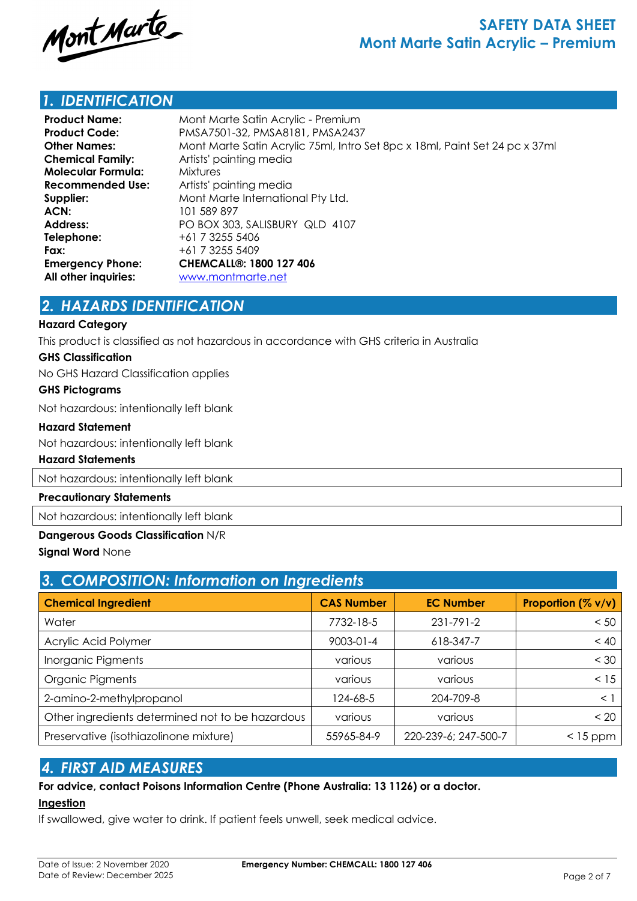

### *1. IDENTIFICATION*

| <b>Product Name:</b>      | Mont Marte Satin Acrylic - Premium                                          |
|---------------------------|-----------------------------------------------------------------------------|
| <b>Product Code:</b>      | PMSA7501-32, PMSA8181, PMSA2437                                             |
| <b>Other Names:</b>       | Mont Marte Satin Acrylic 75ml, Intro Set 8pc x 18ml, Paint Set 24 pc x 37ml |
| <b>Chemical Family:</b>   | Artists' painting media                                                     |
| <b>Molecular Formula:</b> | <b>Mixtures</b>                                                             |
| Recommended Use:          | Artists' painting media                                                     |
| Supplier:                 | Mont Marte International Pty Ltd.                                           |
| ACN:                      | 101 589 897                                                                 |
| <b>Address:</b>           | PO BOX 303, SALISBURY QLD 4107                                              |
| Telephone:                | +61 7 3255 5406                                                             |
| Fax:                      | +61 7 3255 5409                                                             |
| <b>Emergency Phone:</b>   | <b>CHEMCALL<sup>®</sup>: 1800 127 406</b>                                   |
| All other inquiries:      | www.montmarte.net                                                           |

### *2. HAZARDS IDENTIFICATION*

#### **Hazard Category**

This product is classified as not hazardous in accordance with GHS criteria in Australia

#### **GHS Classification**

No GHS Hazard Classification applies

#### **GHS Pictograms**

Not hazardous: intentionally left blank

#### **Hazard Statement**

Not hazardous: intentionally left blank

#### **Hazard Statements**

Not hazardous: intentionally left blank

#### **Precautionary Statements**

Not hazardous: intentionally left blank

#### **Dangerous Goods Classification** N/R

#### **Signal Word** None

| 3. COMPOSITION: Information on Ingredients       |                   |                      |                    |  |  |  |
|--------------------------------------------------|-------------------|----------------------|--------------------|--|--|--|
| <b>Chemical Ingredient</b>                       | <b>CAS Number</b> | <b>EC Number</b>     | Proportion (% v/v) |  |  |  |
| Water                                            | 7732-18-5         | 231-791-2            | < 50               |  |  |  |
| Acrylic Acid Polymer                             | $9003 - 01 - 4$   | 618-347-7            | < 40               |  |  |  |
| Inorganic Pigments                               | various           | various              | $<$ 30             |  |  |  |
| Organic Pigments                                 | various           | various              | < 15               |  |  |  |
| 2-amino-2-methylpropanol                         | 124-68-5          | 204-709-8            | $\leq$ 1           |  |  |  |
| Other ingredients determined not to be hazardous | various           | various              | < 20               |  |  |  |
| Preservative (isothiazolinone mixture)           | 55965-84-9        | 220-239-6; 247-500-7 | $<$ 15 ppm         |  |  |  |

### *4. FIRST AID MEASURES*

### **For advice, contact Poisons Information Centre (Phone Australia: 13 1126) or a doctor.**

#### **Ingestion**

If swallowed, give water to drink. If patient feels unwell, seek medical advice.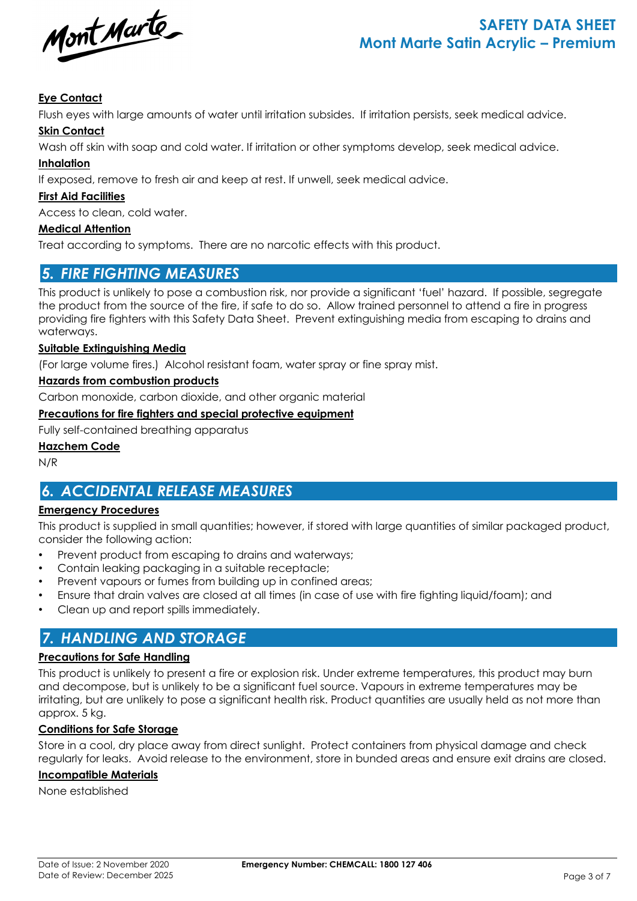

### **Eye Contact**

Flush eyes with large amounts of water until irritation subsides. If irritation persists, seek medical advice.

#### **Skin Contact**

Wash off skin with soap and cold water. If irritation or other symptoms develop, seek medical advice.

#### **Inhalation**

If exposed, remove to fresh air and keep at rest. If unwell, seek medical advice.

#### **First Aid Facilities**

Access to clean, cold water.

#### **Medical Attention**

Treat according to symptoms. There are no narcotic effects with this product.

### *5. FIRE FIGHTING MEASURES*

This product is unlikely to pose a combustion risk, nor provide a significant 'fuel' hazard. If possible, segregate the product from the source of the fire, if safe to do so. Allow trained personnel to attend a fire in progress providing fire fighters with this Safety Data Sheet. Prevent extinguishing media from escaping to drains and waterways.

#### **Suitable Extinguishing Media**

(For large volume fires.) Alcohol resistant foam, water spray or fine spray mist.

#### **Hazards from combustion products**

Carbon monoxide, carbon dioxide, and other organic material

#### **Precautions for fire fighters and special protective equipment**

Fully self-contained breathing apparatus

#### **Hazchem Code**

N/R

# *6. ACCIDENTAL RELEASE MEASURES*

#### **Emergency Procedures**

This product is supplied in small quantities; however, if stored with large quantities of similar packaged product, consider the following action:

- Prevent product from escaping to drains and waterways;
- Contain leaking packaging in a suitable receptacle;
- Prevent vapours or fumes from building up in confined areas;
- Ensure that drain valves are closed at all times (in case of use with fire fighting liquid/foam); and
- Clean up and report spills immediately.

# *7. HANDLING AND STORAGE*

#### **Precautions for Safe Handling**

This product is unlikely to present a fire or explosion risk. Under extreme temperatures, this product may burn and decompose, but is unlikely to be a significant fuel source. Vapours in extreme temperatures may be irritating, but are unlikely to pose a significant health risk. Product quantities are usually held as not more than approx. 5 kg.

#### **Conditions for Safe Storage**

Store in a cool, dry place away from direct sunlight. Protect containers from physical damage and check regularly for leaks. Avoid release to the environment, store in bunded areas and ensure exit drains are closed.

#### **Incompatible Materials**

None established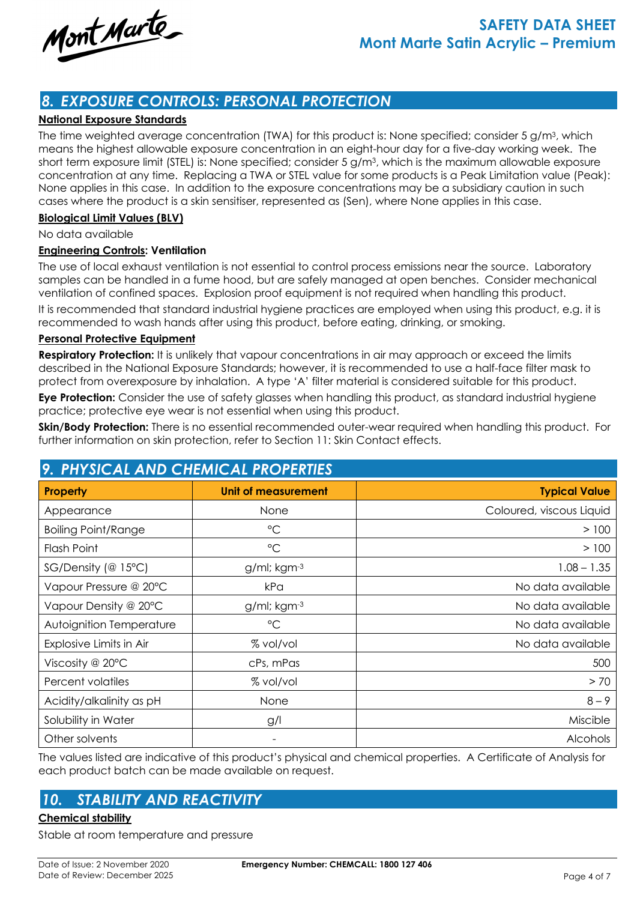Mont Marte

# *8. EXPOSURE CONTROLS: PERSONAL PROTECTION*

#### **National Exposure Standards**

The time weighted average concentration (TWA) for this product is: None specified; consider 5 g/m3, which means the highest allowable exposure concentration in an eight-hour day for a five-day working week. The short term exposure limit (STEL) is: None specified; consider 5 g/m3, which is the maximum allowable exposure concentration at any time. Replacing a TWA or STEL value for some products is a Peak Limitation value (Peak): None applies in this case. In addition to the exposure concentrations may be a subsidiary caution in such cases where the product is a skin sensitiser, represented as (Sen), where None applies in this case.

#### **Biological Limit Values (BLV)**

No data available

#### **Engineering Controls: Ventilation**

The use of local exhaust ventilation is not essential to control process emissions near the source. Laboratory samples can be handled in a fume hood, but are safely managed at open benches. Consider mechanical ventilation of confined spaces. Explosion proof equipment is not required when handling this product.

It is recommended that standard industrial hygiene practices are employed when using this product, e.g. it is recommended to wash hands after using this product, before eating, drinking, or smoking.

#### **Personal Protective Equipment**

**Respiratory Protection:** It is unlikely that vapour concentrations in air may approach or exceed the limits described in the National Exposure Standards; however, it is recommended to use a half-face filter mask to protect from overexposure by inhalation. A type 'A' filter material is considered suitable for this product.

**Eye Protection:** Consider the use of safety glasses when handling this product, as standard industrial hygiene practice; protective eye wear is not essential when using this product.

**Skin/Body Protection:** There is no essential recommended outer-wear required when handling this product. For further information on skin protection, refer to Section 11: Skin Contact effects.

| 9. PHYSICAL AND CHEMICAL PROPERTIES |                     |                          |  |  |
|-------------------------------------|---------------------|--------------------------|--|--|
| Property                            | Unit of measurement | <b>Typical Value</b>     |  |  |
| Appearance                          | None                | Coloured, viscous Liquid |  |  |
| <b>Boiling Point/Range</b>          | $\rm ^{\circ}C$     | > 100                    |  |  |
| <b>Flash Point</b>                  | $\rm ^{\circ}C$     | > 100                    |  |  |
| $SG/Density$ (@ 15°C)               | $g$ /ml; kgm $-3$   | $1.08 - 1.35$            |  |  |
| Vapour Pressure @ 20°C              | kPa                 | No data available        |  |  |
| Vapour Density @ 20°C               | $g/ml;$ kgm $-3$    | No data available        |  |  |
| Autoignition Temperature            | $\rm ^{\circ}C$     | No data available        |  |  |
| Explosive Limits in Air             | % vol/vol           | No data available        |  |  |
| Viscosity @ 20°C                    | cPs, mPas           | 500                      |  |  |
| Percent volatiles                   | % vol/vol           | > 70                     |  |  |
| Acidity/alkalinity as pH            | None                | $8 - 9$                  |  |  |
| Solubility in Water                 | g/l                 | Miscible                 |  |  |
| Other solvents                      | -                   | Alcohols                 |  |  |

# *9. PHYSICAL AND CHEMICAL PROPERTIES*

The values listed are indicative of this product's physical and chemical properties. A Certificate of Analysis for each product batch can be made available on request.

# *10. STABILITY AND REACTIVITY*

#### **Chemical stability**

Stable at room temperature and pressure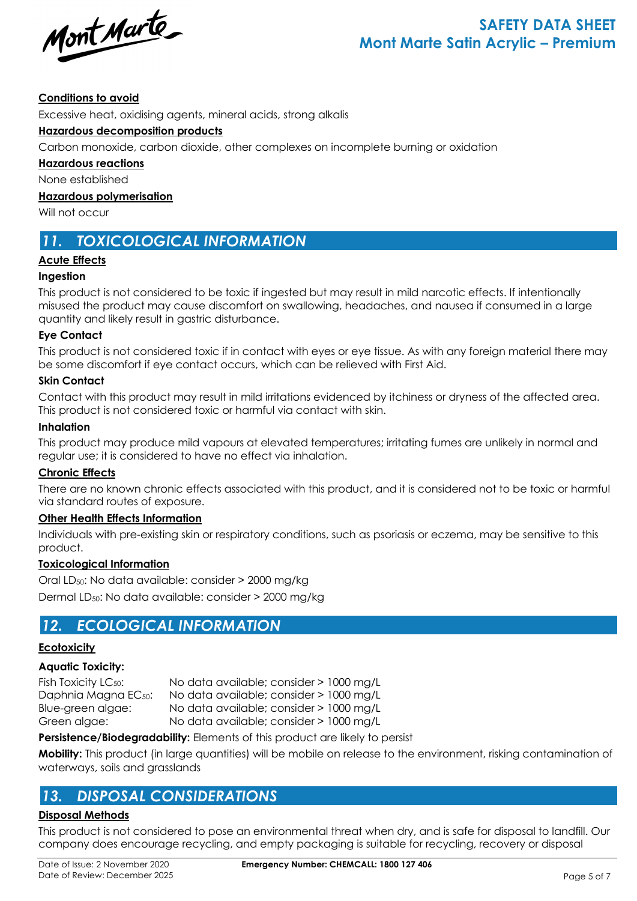Mont Marte

#### **Conditions to avoid**

Excessive heat, oxidising agents, mineral acids, strong alkalis

#### **Hazardous decomposition products**

Carbon monoxide, carbon dioxide, other complexes on incomplete burning or oxidation

**Hazardous reactions**

None established

**Hazardous polymerisation**

Will not occur

### *11. TOXICOLOGICAL INFORMATION*

#### **Acute Effects**

#### **Ingestion**

This product is not considered to be toxic if ingested but may result in mild narcotic effects. If intentionally misused the product may cause discomfort on swallowing, headaches, and nausea if consumed in a large quantity and likely result in gastric disturbance.

#### **Eye Contact**

This product is not considered toxic if in contact with eyes or eye tissue. As with any foreign material there may be some discomfort if eye contact occurs, which can be relieved with First Aid.

#### **Skin Contact**

Contact with this product may result in mild irritations evidenced by itchiness or dryness of the affected area. This product is not considered toxic or harmful via contact with skin.

#### **Inhalation**

This product may produce mild vapours at elevated temperatures; irritating fumes are unlikely in normal and regular use; it is considered to have no effect via inhalation.

#### **Chronic Effects**

There are no known chronic effects associated with this product, and it is considered not to be toxic or harmful via standard routes of exposure.

#### **Other Health Effects Information**

Individuals with pre-existing skin or respiratory conditions, such as psoriasis or eczema, may be sensitive to this product.

#### **Toxicological Information**

Oral LD50: No data available: consider > 2000 mg/kg Dermal LD50: No data available: consider > 2000 mg/kg

### *12. ECOLOGICAL INFORMATION*

#### **Ecotoxicity**

#### **Aquatic Toxicity:**

Fish Toxicity LC<sub>50</sub>: No data available; consider > 1000 mg/L Daphnia Magna EC50: No data available; consider > 1000 mg/L Blue-green algae: No data available; consider > 1000 mg/L Green algae: No data available; consider > 1000 mg/L

**Persistence/Biodegradability:** Elements of this product are likely to persist

**Mobility:** This product (in large quantities) will be mobile on release to the environment, risking contamination of waterways, soils and grasslands

# *13. DISPOSAL CONSIDERATIONS*

#### **Disposal Methods**

This product is not considered to pose an environmental threat when dry, and is safe for disposal to landfill. Our company does encourage recycling, and empty packaging is suitable for recycling, recovery or disposal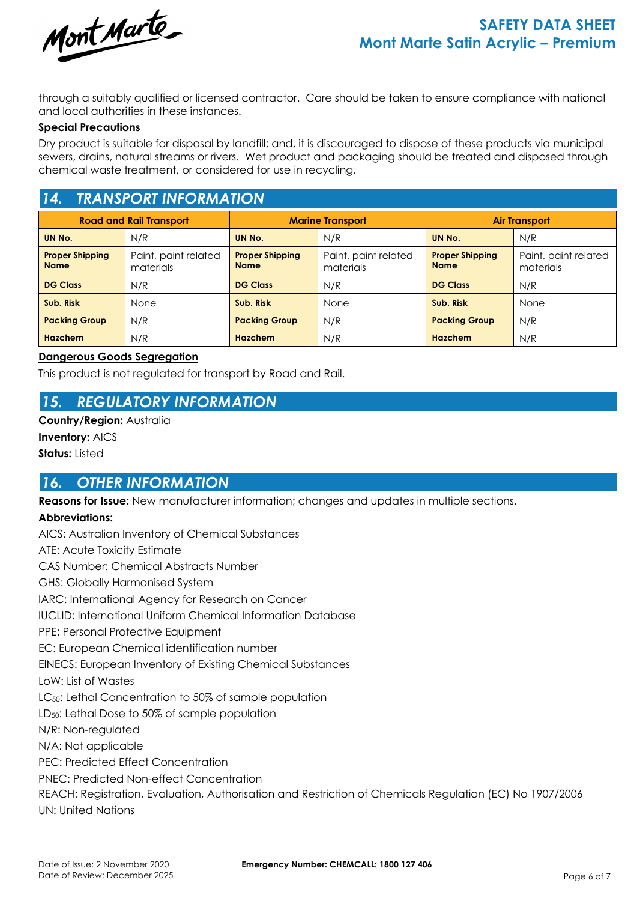

through a suitably qualified or licensed contractor. Care should be taken to ensure compliance with national and local authorities in these instances.

#### **Special Precautions**

Dry product is suitable for disposal by landfill; and, it is discouraged to dispose of these products via municipal sewers, drains, natural streams or rivers. Wet product and packaging should be treated and disposed through chemical waste treatment, or considered for use in recycling.

### *14. TRANSPORT INFORMATION*

| <b>Road and Rail Transport</b>        |                                   | <b>Marine Transport</b>               |                                   | <b>Air Transport</b>                  |                                   |  |
|---------------------------------------|-----------------------------------|---------------------------------------|-----------------------------------|---------------------------------------|-----------------------------------|--|
| UN No.                                | N/R                               | UN No.                                | N/R                               | UN No.                                | N/R                               |  |
| <b>Proper Shipping</b><br><b>Name</b> | Paint, paint related<br>materials | <b>Proper Shipping</b><br><b>Name</b> | Paint, paint related<br>materials | <b>Proper Shipping</b><br><b>Name</b> | Paint, paint related<br>materials |  |
| <b>DG Class</b>                       | N/R                               | <b>DG Class</b>                       | N/R                               | <b>DG Class</b>                       | N/R                               |  |
| Sub. Risk                             | None                              | Sub. Risk                             | None                              | Sub. Risk                             | <b>None</b>                       |  |
| <b>Packing Group</b>                  | N/R                               | <b>Packing Group</b>                  | N/R                               | <b>Packing Group</b>                  | N/R                               |  |
| <b>Hazchem</b>                        | N/R                               | Hazchem                               | N/R                               | Hazchem                               | N/R                               |  |

#### **Dangerous Goods Segregation**

This product is not regulated for transport by Road and Rail.

### *15. REGULATORY INFORMATION*

**Country/Region:** Australia **Inventory:** AICS

**Status:** Listed

### *16. OTHER INFORMATION*

**Reasons for Issue:** New manufacturer information; changes and updates in multiple sections.

#### **Abbreviations:**

AICS: Australian Inventory of Chemical Substances ATE: Acute Toxicity Estimate CAS Number: Chemical Abstracts Number GHS: Globally Harmonised System IARC: International Agency for Research on Cancer IUCLID: International Uniform Chemical Information Database PPE: Personal Protective Equipment EC: European Chemical identification number EINECS: European Inventory of Existing Chemical Substances LoW: List of Wastes LC<sub>50</sub>: Lethal Concentration to 50% of sample population LD<sub>50</sub>: Lethal Dose to 50% of sample population N/R: Non-regulated N/A: Not applicable PEC: Predicted Effect Concentration PNEC: Predicted Non-effect Concentration REACH: Registration, Evaluation, Authorisation and Restriction of Chemicals Regulation (EC) No 1907/2006 UN: United Nations